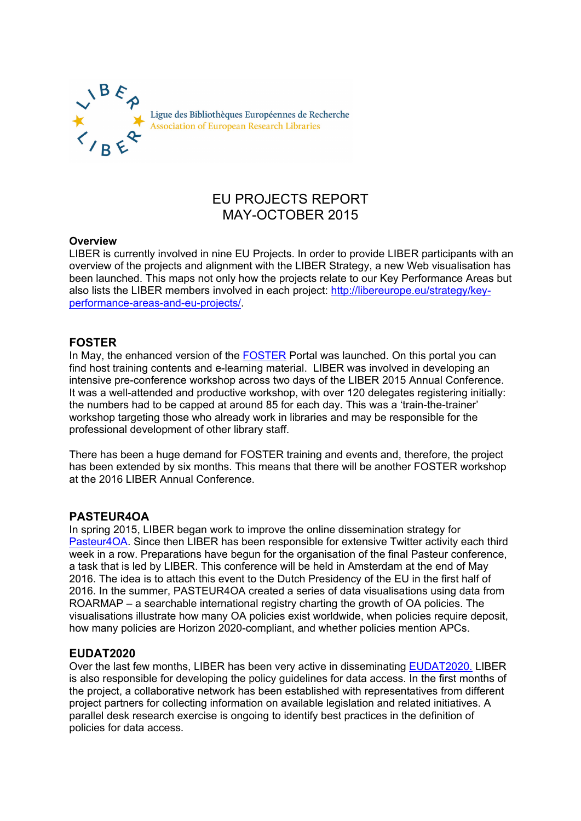

# EU PROJECTS REPORT MAY-OCTOBER 2015

#### **Overview**

LIBER is currently involved in nine EU Projects. In order to provide LIBER participants with an overview of the projects and alignment with the LIBER Strategy, a new Web visualisation has been launched. This maps not only how the projects relate to our Key Performance Areas but also lists the LIBER members involved in each project: [http://libereurope.eu/strategy/key](http://libereurope.eu/strategy/key-performance-areas-and-eu-projects/)[performance-areas-and-eu-projects/.](http://libereurope.eu/strategy/key-performance-areas-and-eu-projects/)

## **FOSTER**

In May, the enhanced version of the [FOSTER](https://www.fosteropenscience.eu/) Portal was launched. On this portal you can find host training contents and e-learning material. LIBER was involved in developing an intensive pre-conference workshop across two days of the LIBER 2015 Annual Conference. It was a well-attended and productive workshop, with over 120 delegates registering initially: the numbers had to be capped at around 85 for each day. This was a 'train-the-trainer' workshop targeting those who already work in libraries and may be responsible for the professional development of other library staff.

There has been a huge demand for FOSTER training and events and, therefore, the project has been extended by six months. This means that there will be another FOSTER workshop at the 2016 LIBER Annual Conference.

#### **PASTEUR4OA**

In spring 2015, LIBER began work to improve the online dissemination strategy for [Pasteur4OA.](http://www.pasteur4oa.eu/) Since then LIBER has been responsible for extensive Twitter activity each third week in a row. Preparations have begun for the organisation of the final Pasteur conference, a task that is led by LIBER. This conference will be held in Amsterdam at the end of May 2016. The idea is to attach this event to the Dutch Presidency of the EU in the first half of 2016. In the summer, PASTEUR4OA created a series of data visualisations using data from ROARMAP – a searchable international registry charting the growth of OA policies. The visualisations illustrate how many OA policies exist worldwide, when policies require deposit, how many policies are Horizon 2020-compliant, and whether policies mention APCs.

#### **EUDAT2020**

Over the last few months, LIBER has been very active in disseminating [EUDAT2020.](http://eudat.eu/) LIBER is also responsible for developing the policy guidelines for data access. In the first months of the project, a collaborative network has been established with representatives from different project partners for collecting information on available legislation and related initiatives. A parallel desk research exercise is ongoing to identify best practices in the definition of policies for data access.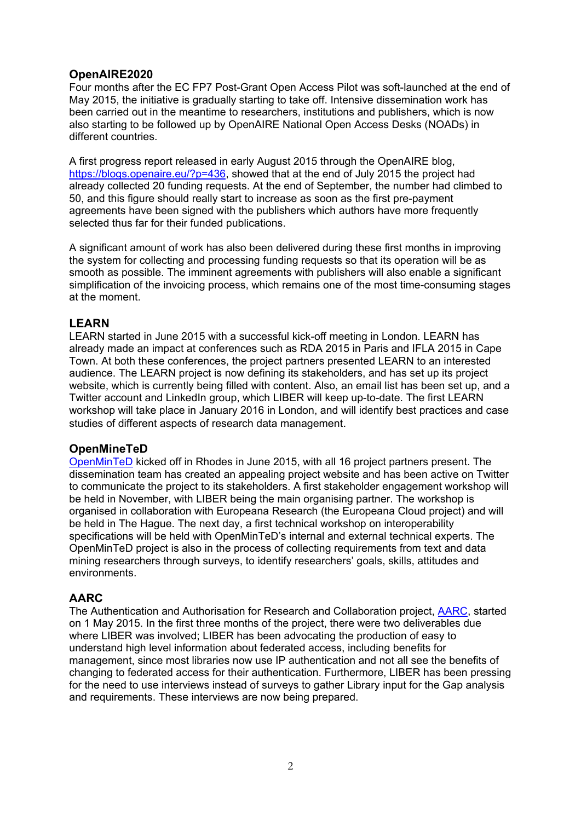## **OpenAIRE2020**

Four months after the EC FP7 Post-Grant Open Access Pilot was soft-launched at the end of May 2015, the initiative is gradually starting to take off. Intensive dissemination work has been carried out in the meantime to researchers, institutions and publishers, which is now also starting to be followed up by OpenAIRE National Open Access Desks (NOADs) in different countries.

A first progress report released in early August 2015 through the OpenAIRE blog, [https://blogs.openaire.eu/?p=436,](https://blogs.openaire.eu/?p=436) showed that at the end of July 2015 the project had already collected 20 funding requests. At the end of September, the number had climbed to 50, and this figure should really start to increase as soon as the first pre-payment agreements have been signed with the publishers which authors have more frequently selected thus far for their funded publications.

A significant amount of work has also been delivered during these first months in improving the system for collecting and processing funding requests so that its operation will be as smooth as possible. The imminent agreements with publishers will also enable a significant simplification of the invoicing process, which remains one of the most time-consuming stages at the moment.

## **LEARN**

LEARN started in June 2015 with a successful kick-off meeting in London. LEARN has already made an impact at conferences such as RDA 2015 in Paris and IFLA 2015 in Cape Town. At both these conferences, the project partners presented LEARN to an interested audience. The LEARN project is now defining its stakeholders, and has set up its project website, which is currently being filled with content. Also, an email list has been set up, and a Twitter account and LinkedIn group, which LIBER will keep up-to-date. The first LEARN workshop will take place in January 2016 in London, and will identify best practices and case studies of different aspects of research data management.

#### **OpenMineTeD**

[OpenMinTeD](http://openminted.eu/) kicked off in Rhodes in June 2015, with all 16 project partners present. The dissemination team has created an appealing project website and has been active on Twitter to communicate the project to its stakeholders. A first stakeholder engagement workshop will be held in November, with LIBER being the main organising partner. The workshop is organised in collaboration with Europeana Research (the Europeana Cloud project) and will be held in The Hague. The next day, a first technical workshop on interoperability specifications will be held with OpenMinTeD's internal and external technical experts. The OpenMinTeD project is also in the process of collecting requirements from text and data mining researchers through surveys, to identify researchers' goals, skills, attitudes and environments.

## **AARC**

The Authentication and Authorisation for Research and Collaboration project, [AARC,](https://aarc-project.eu/) started on 1 May 2015. In the first three months of the project, there were two deliverables due where LIBER was involved; LIBER has been advocating the production of easy to understand high level information about federated access, including benefits for management, since most libraries now use IP authentication and not all see the benefits of changing to federated access for their authentication. Furthermore, LIBER has been pressing for the need to use interviews instead of surveys to gather Library input for the Gap analysis and requirements. These interviews are now being prepared.